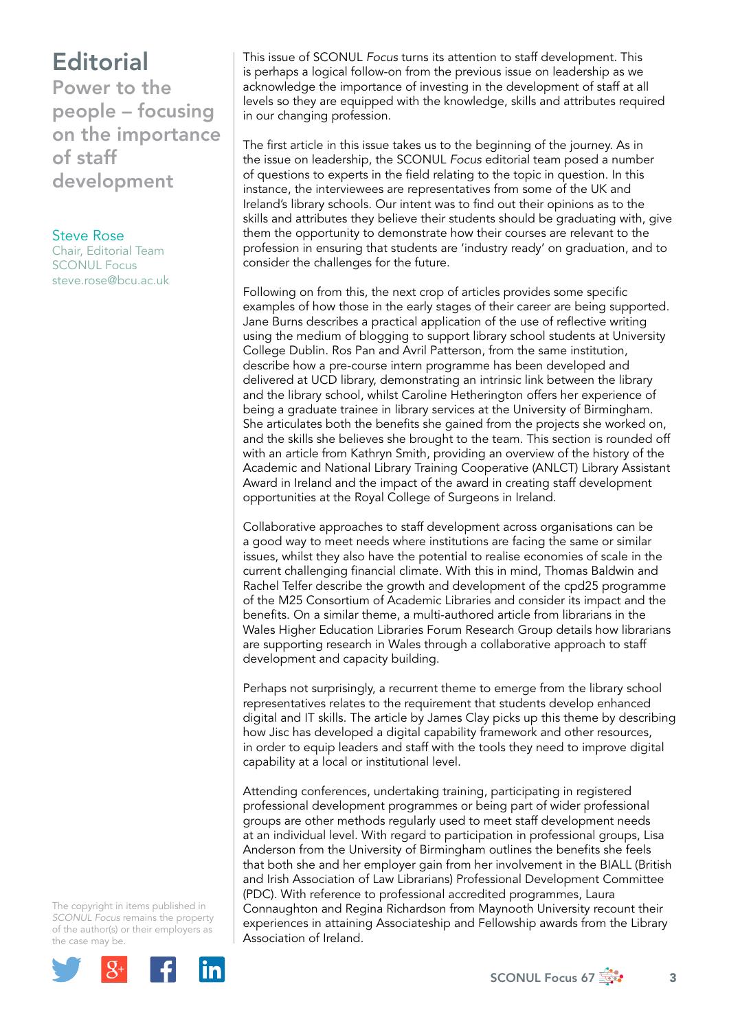## **Editorial**

Power to the people – focusing on the importance of staff development

Steve Rose Chair, Editorial Team SCONUL Focus [steve.rose@bcu.ac.uk](mailto:steve.rose@bcu.ac.uk)

This issue of SCONUL *Focus* turns its attention to staff development. This is perhaps a logical follow-on from the previous issue on leadership as we acknowledge the importance of investing in the development of staff at all levels so they are equipped with the knowledge, skills and attributes required in our changing profession.

The first article in this issue takes us to the beginning of the journey. As in the issue on leadership, the SCONUL *Focus* editorial team posed a number of questions to experts in the field relating to the topic in question. In this instance, the interviewees are representatives from some of the UK and Ireland's library schools. Our intent was to find out their opinions as to the skills and attributes they believe their students should be graduating with, give them the opportunity to demonstrate how their courses are relevant to the profession in ensuring that students are 'industry ready' on graduation, and to consider the challenges for the future.

Following on from this, the next crop of articles provides some specific examples of how those in the early stages of their career are being supported. Jane Burns describes a practical application of the use of reflective writing using the medium of blogging to support library school students at University College Dublin. Ros Pan and Avril Patterson, from the same institution, describe how a pre-course intern programme has been developed and delivered at UCD library, demonstrating an intrinsic link between the library and the library school, whilst Caroline Hetherington offers her experience of being a graduate trainee in library services at the University of Birmingham. She articulates both the benefits she gained from the projects she worked on, and the skills she believes she brought to the team. This section is rounded off with an article from Kathryn Smith, providing an overview of the history of the Academic and National Library Training Cooperative (ANLCT) Library Assistant Award in Ireland and the impact of the award in creating staff development opportunities at the Royal College of Surgeons in Ireland.

Collaborative approaches to staff development across organisations can be a good way to meet needs where institutions are facing the same or similar issues, whilst they also have the potential to realise economies of scale in the current challenging financial climate. With this in mind, Thomas Baldwin and Rachel Telfer describe the growth and development of the cpd25 programme of the M25 Consortium of Academic Libraries and consider its impact and the benefits. On a similar theme, a multi-authored article from librarians in the Wales Higher Education Libraries Forum Research Group details how librarians are supporting research in Wales through a collaborative approach to staff development and capacity building.

Perhaps not surprisingly, a recurrent theme to emerge from the library school representatives relates to the requirement that students develop enhanced digital and IT skills. The article by James Clay picks up this theme by describing how Jisc has developed a digital capability framework and other resources, in order to equip leaders and staff with the tools they need to improve digital capability at a local or institutional level.

Attending conferences, undertaking training, participating in registered professional development programmes or being part of wider professional groups are other methods regularly used to meet staff development needs at an individual level. With regard to participation in professional groups, Lisa Anderson from the University of Birmingham outlines the benefits she feels that both she and her employer gain from her involvement in the BIALL (British and Irish Association of Law Librarians) Professional Development Committee (PDC). With reference to professional accredited programmes, Laura Connaughton and Regina Richardson from Maynooth University recount their experiences in attaining Associateship and Fellowship awards from the Library Association of Ireland.

The copyright in items published in *SCONUL Focus* remains the property of the author(s) or their employers as the case may be.